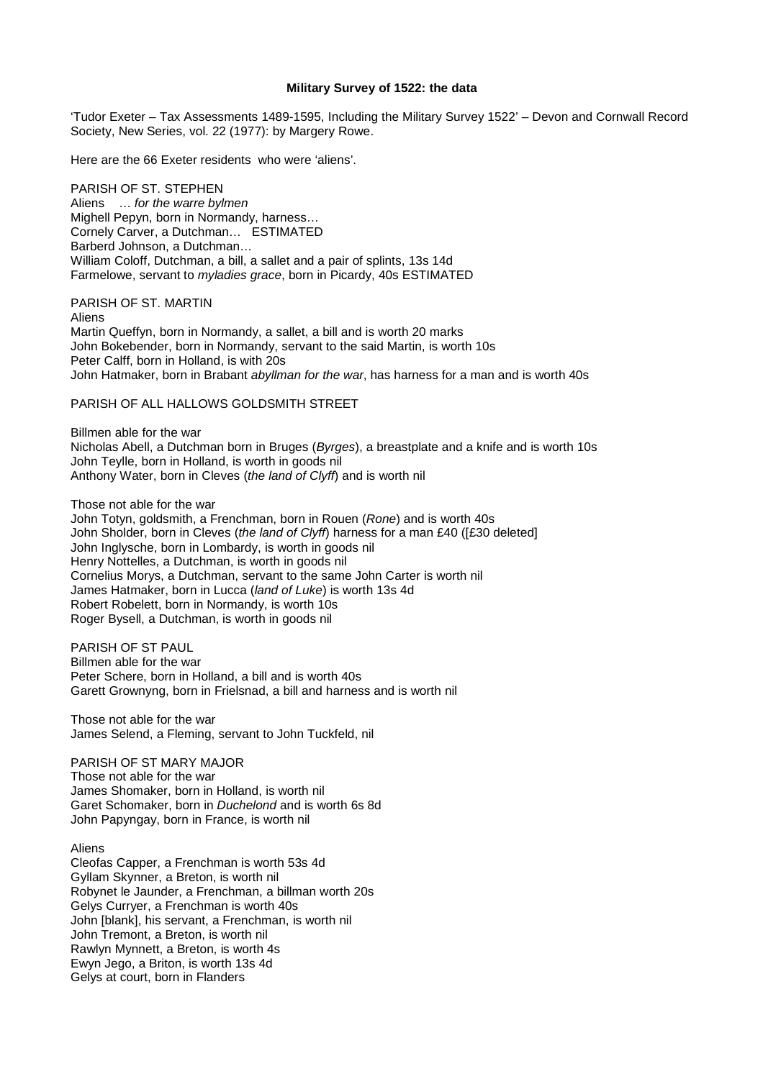## **Military Survey of 1522: the data**

'Tudor Exeter – Tax Assessments 1489-1595, Including the Military Survey 1522' – Devon and Cornwall Record Society, New Series, vol. 22 (1977): by Margery Rowe.

Here are the 66 Exeter residents who were 'aliens'.

PARISH OF ST. STEPHEN Aliens … for the warre bylmen Mighell Pepyn, born in Normandy, harness… Cornely Carver, a Dutchman… ESTIMATED Barberd Johnson, a Dutchman… William Coloff, Dutchman, a bill, a sallet and a pair of splints, 13s 14d Farmelowe, servant to myladies grace, born in Picardy, 40s ESTIMATED

PARISH OF ST. MARTIN

Aliens Martin Queffyn, born in Normandy, a sallet, a bill and is worth 20 marks John Bokebender, born in Normandy, servant to the said Martin, is worth 10s Peter Calff, born in Holland, is with 20s John Hatmaker, born in Brabant abyllman for the war, has harness for a man and is worth 40s

PARISH OF ALL HALLOWS GOLDSMITH STREET

Billmen able for the war Nicholas Abell, a Dutchman born in Bruges (Byrges), a breastplate and a knife and is worth 10s John Teylle, born in Holland, is worth in goods nil Anthony Water, born in Cleves (the land of Clyff) and is worth nil

Those not able for the war

John Totyn, goldsmith, a Frenchman, born in Rouen (Rone) and is worth 40s John Sholder, born in Cleves (the land of Clyff) harness for a man £40 ([£30 deleted] John Inglysche, born in Lombardy, is worth in goods nil Henry Nottelles, a Dutchman, is worth in goods nil Cornelius Morys, a Dutchman, servant to the same John Carter is worth nil James Hatmaker, born in Lucca (land of Luke) is worth 13s 4d Robert Robelett, born in Normandy, is worth 10s Roger Bysell, a Dutchman, is worth in goods nil

PARISH OF ST PAUL Billmen able for the war Peter Schere, born in Holland, a bill and is worth 40s Garett Grownyng, born in Frielsnad, a bill and harness and is worth nil

Those not able for the war James Selend, a Fleming, servant to John Tuckfeld, nil

PARISH OF ST MARY MAJOR Those not able for the war James Shomaker, born in Holland, is worth nil Garet Schomaker, born in Duchelond and is worth 6s 8d John Papyngay, born in France, is worth nil

Aliens

Cleofas Capper, a Frenchman is worth 53s 4d Gyllam Skynner, a Breton, is worth nil Robynet le Jaunder, a Frenchman, a billman worth 20s Gelys Curryer, a Frenchman is worth 40s John [blank], his servant, a Frenchman, is worth nil John Tremont, a Breton, is worth nil Rawlyn Mynnett, a Breton, is worth 4s Ewyn Jego, a Briton, is worth 13s 4d Gelys at court, born in Flanders